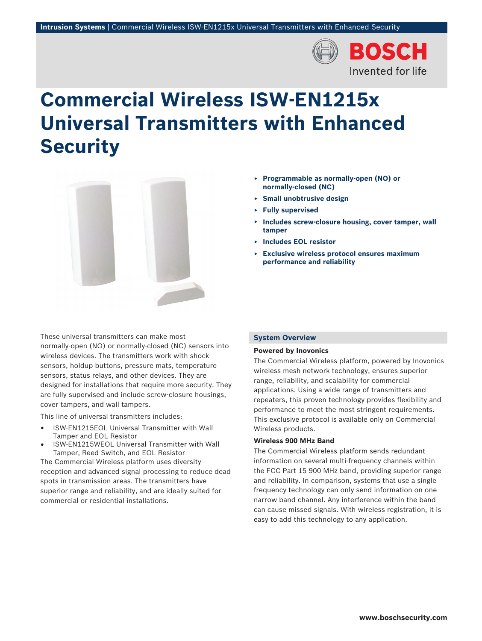

# **Commercial Wireless ISW‑EN1215x Universal Transmitters with Enhanced Security**



These universal transmitters can make most normally‑open (NO) or normally‑closed (NC) sensors into wireless devices. The transmitters work with shock sensors, holdup buttons, pressure mats, temperature sensors, status relays, and other devices. They are designed for installations that require more security. They are fully supervised and include screw‑closure housings, cover tampers, and wall tampers.

This line of universal transmitters includes:

- ISW‑EN1215EOL Universal Transmitter with Wall Tamper and EOL Resistor
- ISW‑EN1215WEOL Universal Transmitter with Wall Tamper, Reed Switch, and EOL Resistor

The Commercial Wireless platform uses diversity reception and advanced signal processing to reduce dead spots in transmission areas. The transmitters have superior range and reliability, and are ideally suited for commercial or residential installations.

- ▶ **Programmable as normally‑open (NO) or normally‑closed (NC)**
- ▶ **Small unobtrusive design**
- ▶ **Fully supervised**
- ▶ **Includes screw‑closure housing, cover tamper, wall tamper**
- ▶ **Includes EOL resistor**
- ▶ **Exclusive wireless protocol ensures maximum performance and reliability**

#### **System Overview**

#### **Powered by Inovonics**

The Commercial Wireless platform, powered by Inovonics wireless mesh network technology, ensures superior range, reliability, and scalability for commercial applications. Using a wide range of transmitters and repeaters, this proven technology provides flexibility and performance to meet the most stringent requirements. This exclusive protocol is available only on Commercial Wireless products.

#### **Wireless 900 MHz Band**

The Commercial Wireless platform sends redundant information on several multi-frequency channels within the FCC Part 15 900 MHz band, providing superior range and reliability. In comparison, systems that use a single frequency technology can only send information on one narrow band channel. Any interference within the band can cause missed signals. With wireless registration, it is easy to add this technology to any application.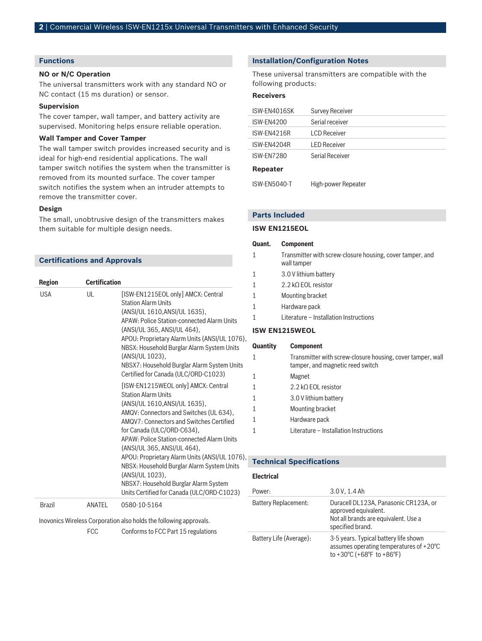## **Functions**

#### **NO or N/C Operation**

The universal transmitters work with any standard NO or NC contact (15 ms duration) or sensor.

#### **Supervision**

The cover tamper, wall tamper, and battery activity are supervised. Monitoring helps ensure reliable operation.

#### **Wall Tamper and Cover Tamper**

The wall tamper switch provides increased security and is ideal for high-end residential applications. The wall tamper switch notifies the system when the transmitter is removed from its mounted surface. The cover tamper switch notifies the system when an intruder attempts to remove the transmitter cover.

#### **Design**

The small, unobtrusive design of the transmitters makes them suitable for multiple design needs.

#### **Certifications and Approvals**

| <b>Region</b> | <b>Certification</b> |                                                                                                                                                                                                                                                                                                                                                                                                                                                                                                               |
|---------------|----------------------|---------------------------------------------------------------------------------------------------------------------------------------------------------------------------------------------------------------------------------------------------------------------------------------------------------------------------------------------------------------------------------------------------------------------------------------------------------------------------------------------------------------|
| <b>USA</b>    | UL                   | [ISW-EN1215EOL only] AMCX: Central<br><b>Station Alarm Units</b><br>(ANSI/UL 1610, ANSI/UL 1635),<br>APAW: Police Station-connected Alarm Units<br>(ANSI/UL 365, ANSI/UL 464),<br>APOU: Proprietary Alarm Units (ANSI/UL 1076),<br>NBSX: Household Burglar Alarm System Units<br>(ANSI/UL 1023),<br>NBSX7: Household Burglar Alarm System Units<br>Certified for Canada (ULC/ORD-C1023)                                                                                                                       |
|               |                      | [ISW-EN1215WEOL only] AMCX: Central<br><b>Station Alarm Units</b><br>(ANSI/UL 1610, ANSI/UL 1635),<br>AMQV: Connectors and Switches (UL 634),<br>AMQV7: Connectors and Switches Certified<br>for Canada (ULC/ORD-C634),<br>APAW: Police Station-connected Alarm Units<br>(ANSI/UL 365, ANSI/UL 464),<br>APOU: Proprietary Alarm Units (ANSI/UL 1076),<br>NBSX: Household Burglar Alarm System Units<br>(ANSI/UL 1023),<br>NBSX7: Household Burglar Alarm System<br>Units Certified for Canada (ULC/ORD-C1023) |
| <b>Brazil</b> | ANATEL               | 0580-10-5164                                                                                                                                                                                                                                                                                                                                                                                                                                                                                                  |

Inovonics Wireless Corporation also holds the following approvals.

FCC Conforms to FCC Part 15 regulations

#### **Installation/Configuration Notes**

These universal transmitters are compatible with the following products:

#### **Receivers**

| ISW-EN4016SK    | <b>Survey Receiver</b> |
|-----------------|------------------------|
| ISW-EN4200      | Serial receiver        |
| ISW-EN4216R     | LCD Receiver           |
| ISW-EN4204R     | <b>LED Receiver</b>    |
| ISW-FN7280      | Serial Receiver        |
| <b>Repeater</b> |                        |
| ISW-EN5040-T    | High-power Repeater    |

#### **Parts Included**

#### **ISW EN1215EOL**

#### **Quant. Component**

- 1 Transmitter with screw-closure housing, cover tamper, and wall tamper
- 1 3.0 V lithium battery
- 1 2.2 kΩ EOL resistor
- 1 Mounting bracket
- 1 Hardware pack
- 1 Literature Installation Instructions

#### **ISW EN1215WEOL**

# **Quantity Component** 1 Transmitter with screw-closure housing, cover tamper, wall

| tamper, and magnetic reed switch       |
|----------------------------------------|
| Magnet                                 |
| 2.2 k $\Omega$ EOL resistor            |
| 3.0 V lithium battery                  |
| Mounting bracket                       |
| Hardware pack                          |
| Literature - Installation Instructions |
|                                        |

## **Technical Specifications**

#### **Electrical**

| Power:                      | 3.0 V, 1.4 Ah                                                                                                                                  |
|-----------------------------|------------------------------------------------------------------------------------------------------------------------------------------------|
| <b>Battery Replacement:</b> | Duracell DL123A, Panasonic CR123A, or<br>approved equivalent.<br>Not all brands are equivalent. Use a<br>specified brand.                      |
| Battery Life (Average):     | 3-5 years. Typical battery life shown<br>assumes operating temperatures of +20°C<br>to +30 $^{\circ}$ C (+68 $^{\circ}$ F to +86 $^{\circ}$ F) |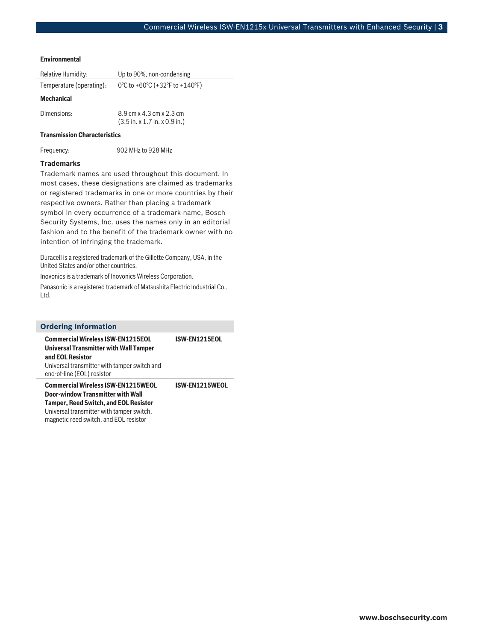#### **Environmental**

| Relative Humidity:       | Up to 90%, non-condensing                                                             |
|--------------------------|---------------------------------------------------------------------------------------|
| Temperature (operating): | 0°C to +60°C (+32°F to +140°F)                                                        |
| <b>Mechanical</b>        |                                                                                       |
| Dimensions:              | 8.9 cm x 4.3 cm x 2.3 cm<br>$(3.5 \text{ in. x } 1.7 \text{ in. x } 0.9 \text{ in.})$ |

#### **Transmission Characteristics**

Frequency: 902 MHz to 928 MHz

#### **Trademarks**

Trademark names are used throughout this document. In most cases, these designations are claimed as trademarks or registered trademarks in one or more countries by their respective owners. Rather than placing a trademark symbol in every occurrence of a trademark name, Bosch Security Systems, Inc. uses the names only in an editorial fashion and to the benefit of the trademark owner with no intention of infringing the trademark.

Duracell is a registered trademark of the Gillette Company, USA, in the United States and/or other countries.

Inovonics is a trademark of Inovonics Wireless Corporation.

Panasonic is a registered trademark of Matsushita Electric Industrial Co., Ltd.

# **Ordering Information Commercial Wireless ISW‑EN1215EOL Universal Transmitter with Wall Tamper**

**ISW-EN1215EOL**

**and EOL Resistor** Universal transmitter with tamper switch and end-of-line (EOL) resistor

**Commercial Wireless ISW‑EN1215WEOL Door‑window Transmitter with Wall Tamper, Reed Switch, and EOL Resistor** Universal transmitter with tamper switch, magnetic reed switch, and EOL resistor **ISW-EN1215WEOL**